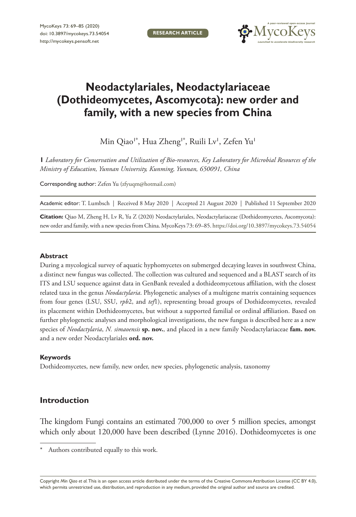**RESEARCH ARTICLE**



# **Neodactylariales, Neodactylariaceae (Dothideomycetes, Ascomycota): new order and family, with a new species from China**

Min Qiao'\*, Hua Zheng'\*, Ruili Lv', Zefen Yu'

**1** *Laboratory for Conservation and Utilization of Bio-resources, Key Laboratory for Microbial Resources of the Ministry of Education, Yunnan University, Kunming, Yunnan, 650091, China*

Corresponding author: Zefen Yu ([zfyuqm@hotmail.com\)](mailto:zfyuqm@hotmail.com)

Academic editor: T. Lumbsch | Received 8 May 2020 | Accepted 21 August 2020 | Published 11 September 2020

**Citation:** Qiao M, Zheng H, Lv R, Yu Z (2020) Neodactylariales, Neodactylariaceae (Dothideomycetes, Ascomycota): new order and family, with a new species from China. MycoKeys 73: 69–85.<https://doi.org/10.3897/mycokeys.73.54054>

### **Abstract**

During a mycological survey of aquatic hyphomycetes on submerged decaying leaves in southwest China, a distinct new fungus was collected. The collection was cultured and sequenced and a BLAST search of its ITS and LSU sequence against data in GenBank revealed a dothideomycetous affiliation, with the closest related taxa in the genus *Neodactylaria*. Phylogenetic analyses of a multigene matrix containing sequences from four genes (LSU, SSU, *rpb*2, and *tef*1), representing broad groups of Dothideomycetes, revealed its placement within Dothideomycetes, but without a supported familial or ordinal affiliation. Based on further phylogenetic analyses and morphological investigations, the new fungus is described here as a new species of *Neodactylaria*, *N. simaoensis* **sp. nov.**, and placed in a new family Neodactylariaceae **fam. nov.**  and a new order Neodactylariales **ord. nov.**

#### **Keywords**

Dothideomycetes, new family, new order, new species, phylogenetic analysis, taxonomy

# **Introduction**

The kingdom Fungi contains an estimated 700,000 to over 5 million species, amongst which only about 120,000 have been described (Lynne 2016). Dothideomycetes is one

Copyright *Min Qiao et al.* This is an open access article distributed under the terms of the [Creative Commons Attribution License \(CC BY 4.0\),](http://creativecommons.org/licenses/by/4.0/) which permits unrestricted use, distribution, and reproduction in any medium, provided the original author and source are credited.

Authors contributed equally to this work.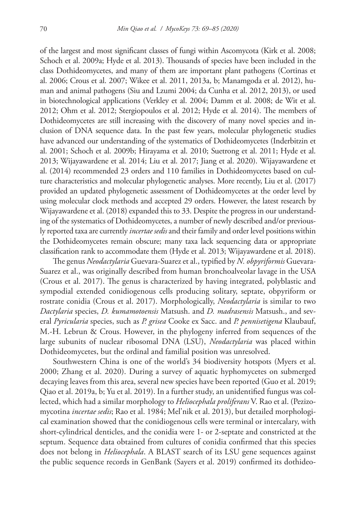of the largest and most significant classes of fungi within Ascomycota (Kirk et al. 2008; Schoch et al. 2009a; Hyde et al. 2013). Thousands of species have been included in the class Dothideomycetes, and many of them are important plant pathogens (Cortinas et al. 2006; Crous et al. 2007; Wikee et al. 2011, 2013a, b; Manamgoda et al. 2012), human and animal pathogens (Siu and Lzumi 2004; da Cunha et al. 2012, 2013), or used in biotechnological applications (Verkley et al. 2004; Damm et al. 2008; de Wit et al. 2012; Ohm et al. 2012; Stergiopoulos et al. 2012; Hyde et al. 2014). The members of Dothideomycetes are still increasing with the discovery of many novel species and inclusion of DNA sequence data. In the past few years, molecular phylogenetic studies have advanced our understanding of the systematics of Dothideomycetes (Inderbitzin et al. 2001; Schoch et al. 2009b; Hirayama et al. 2010; Suetrong et al. 2011; Hyde et al. 2013; Wijayawardene et al. 2014; Liu et al. 2017; Jiang et al. 2020). Wijayawardene et al. (2014) recommended 23 orders and 110 families in Dothideomycetes based on culture characteristics and molecular phylogenetic analyses. More recently, Liu et al. (2017) provided an updated phylogenetic assessment of Dothideomycetes at the order level by using molecular clock methods and accepted 29 orders. However, the latest research by Wijayawardene et al. (2018) expanded this to 33. Despite the progress in our understanding of the systematics of Dothideomycetes, a number of newly described and/or previously reported taxa are currently *incertae sedis* and their family and order level positions within the Dothideomycetes remain obscure; many taxa lack sequencing data or appropriate classification rank to accommodate them (Hyde et al. 2013; Wijayawardene et al. 2018).

The genus *Neodactylaria* Guevara-Suarez et al., typified by *N. obpyriformis* Guevara-Suarez et al., was originally described from human bronchoalveolar lavage in the USA (Crous et al. 2017). The genus is characterized by having integrated, polyblastic and sympodial extended conidiogenous cells producing solitary, septate, obpyriform or rostrate conidia (Crous et al. 2017). Morphologically, *Neodactylaria* is similar to two *Dactylaria* species, *D. kumamotoensis* Matsush. and *D. madrasensis* Matsush., and several *Pyricularia* species, such as *P. grisea* Cooke ex Sacc. and *P. pennisetigena* Klaubauf, M.-H. Lebrun & Crous. However, in the phylogeny inferred from sequences of the large subunits of nuclear ribosomal DNA (LSU), *Neodactylaria* was placed within Dothideomycetes, but the ordinal and familial position was unresolved.

Southwestern China is one of the world's 34 biodiversity hotspots (Myers et al. 2000; Zhang et al. 2020). During a survey of aquatic hyphomycetes on submerged decaying leaves from this area, several new species have been reported (Guo et al. 2019; Qiao et al. 2019a, b; Yu et al. 2019). In a further study, an unidentified fungus was collected, which had a similar morphology to *Heliocephala proliferans* V. Rao et al. (Pezizomycotina *incertae sedis*; Rao et al. 1984; Mel'nik et al. 2013), but detailed morphological examination showed that the conidiogenous cells were terminal or intercalary, with short-cylindrical denticles, and the conidia were 1- or 2-septate and constricted at the septum. Sequence data obtained from cultures of conidia confirmed that this species does not belong in *Heliocephala*. A BLAST search of its LSU gene sequences against the public sequence records in GenBank (Sayers et al. 2019) confirmed its dothideo-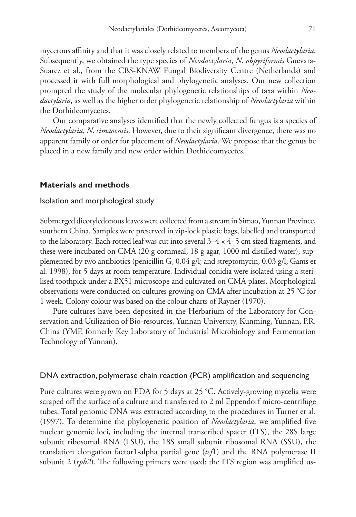mycetous affinity and that it was closely related to members of the genus *Neodactylaria*. Subsequently, we obtained the type species of *Neodactylaria*, *N. obpyriformis* Guevara-Suarez et al., from the CBS-KNAW Fungal Biodiversity Centre (Netherlands) and processed it with full morphological and phylogenetic analyses. Our new collection prompted the study of the molecular phylogenetic relationships of taxa within *Neodactylaria*, as well as the higher order phylogenetic relationship of *Neodactylaria* within the Dothideomycetes.

Our comparative analyses identified that the newly collected fungus is a species of *Neodactylaria*, *N. simaoensis*. However, due to their significant divergence, there was no apparent family or order for placement of *Neodactylaria*. We propose that the genus be placed in a new family and new order within Dothideomycetes.

#### **Materials and methods**

#### Isolation and morphological study

Submerged dicotyledonous leaves were collected from a stream in Simao, Yunnan Province, southern China. Samples were preserved in zip-lock plastic bags, labelled and transported to the laboratory. Each rotted leaf was cut into several  $3-4 \times 4-5$  cm sized fragments, and these were incubated on CMA (20 g cornmeal, 18 g agar, 1000 ml distilled water), supplemented by two antibiotics (penicillin G, 0.04 g/l; and streptomycin, 0.03 g/l; Gams et al. 1998), for 5 days at room temperature. Individual conidia were isolated using a sterilised toothpick under a BX51 microscope and cultivated on CMA plates. Morphological observations were conducted on cultures growing on CMA after incubation at 25 °C for 1 week. Colony colour was based on the colour charts of Rayner (1970).

Pure cultures have been deposited in the Herbarium of the Laboratory for Conservation and Utilization of Bio-resources, Yunnan University, Kunming, Yunnan, P.R. China (YMF, formerly Key Laboratory of Industrial Microbiology and Fermentation Technology of Yunnan).

#### DNA extraction, polymerase chain reaction (PCR) amplification and sequencing

Pure cultures were grown on PDA for 5 days at 25 °C. Actively-growing mycelia were scraped off the surface of a culture and transferred to 2 ml Eppendorf micro-centrifuge tubes. Total genomic DNA was extracted according to the procedures in Turner et al. (1997). To determine the phylogenetic position of *Neodactylaria*, we amplified five nuclear genomic loci, including the internal transcribed spacer (ITS), the 28S large subunit ribosomal RNA (LSU), the 18S small subunit ribosomal RNA (SSU), the translation elongation factor1-alpha partial gene (*tef*1) and the RNA polymerase II subunit 2 (*rpb2*). The following primers were used: the ITS region was amplified us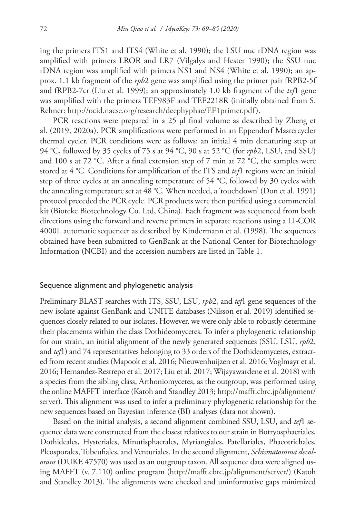ing the primers ITS1 and ITS4 (White et al. 1990); the LSU nuc rDNA region was amplified with primers LROR and LR7 (Vilgalys and Hester 1990); the SSU nuc rDNA region was amplified with primers NS1 and NS4 (White et al. 1990); an approx. 1.1 kb fragment of the *rpb*2 gene was amplified using the primer pair fRPB2-5f and fRPB2-7cr (Liu et al. 1999); an approximately 1.0 kb fragment of the *tef*1 gene was amplified with the primers TEF983F and TEF2218R (initially obtained from S. Rehner: <http://ocid.nacse.org/research/deephyphae/EF1primer.pdf>).

PCR reactions were prepared in a 25 μl final volume as described by Zheng et al. (2019, 2020a). PCR amplifications were performed in an Eppendorf Mastercycler thermal cycler. PCR conditions were as follows: an initial 4 min denaturing step at 94 °C, followed by 35 cycles of 75 s at 94 °C, 90 s at 52 °C (for *rpb*2, LSU, and SSU) and 100 s at 72 °C. After a final extension step of 7 min at 72 °C, the samples were stored at 4 °C. Conditions for amplification of the ITS and *tef*1 regions were an initial step of three cycles at an annealing temperature of 54 °C, followed by 30 cycles with the annealing temperature set at 48 °C. When needed, a 'touchdown' (Don et al. 1991) protocol preceded the PCR cycle. PCR products were then purified using a commercial kit (Bioteke Biotechnology Co. Ltd, China). Each fragment was sequenced from both directions using the forward and reverse primers in separate reactions using a LI-COR 4000L automatic sequencer as described by Kindermann et al. (1998). The sequences obtained have been submitted to GenBank at the National Center for Biotechnology Information (NCBI) and the accession numbers are listed in Table 1.

#### Sequence alignment and phylogenetic analysis

Preliminary BLAST searches with ITS, SSU, LSU, *rpb*2, and *tef*1 gene sequences of the new isolate against GenBank and UNITE databases (Nilsson et al. 2019) identified sequences closely related to our isolates. However, we were only able to robustly determine their placements within the class Dothideomycetes. To infer a phylogenetic relationship for our strain, an initial alignment of the newly generated sequences (SSU, LSU, *rpb*2, and *tef*1) and 74 representatives belonging to 33 orders of the Dothideomycetes, extracted from recent studies (Mapook et al. 2016; Nieuwenhuijzen et al. 2016; Voglmayr et al. 2016; Hernandez-Restrepo et al. 2017; Liu et al. 2017; Wijayawardene et al. 2018) with a species from the sibling class, Arthoniomycetes, as the outgroup, was performed using the online MAFFT interface (Katoh and Standley 2013; [http://mafft.cbrc.jp/alignment/](http://mafft.cbrc.jp/alignment/server) [server](http://mafft.cbrc.jp/alignment/server)). This alignment was used to infer a preliminary phylogenetic relationship for the new sequences based on Bayesian inference (BI) analyses (data not shown).

Based on the initial analysis, a second alignment combined SSU, LSU, and *tef*1 sequence data were constructed from the closest relatives to our strain in Botryosphaeriales, Dothideales, Hysteriales, Minutisphaerales, Myriangiales, Patellariales, Phaeotrichales, Pleosporales, Tubeufiales, and Venturiales. In the second alignment, *Schismatomma decolorans* (DUKE 47570) was used as an outgroup taxon. All sequence data were aligned using MAFFT (v. 7.110) online program [\(http://mafft.cbrc.jp/alignment/server/](http://mafft.cbrc.jp/alignment/server/)) (Katoh and Standley 2013). The alignments were checked and uninformative gaps minimized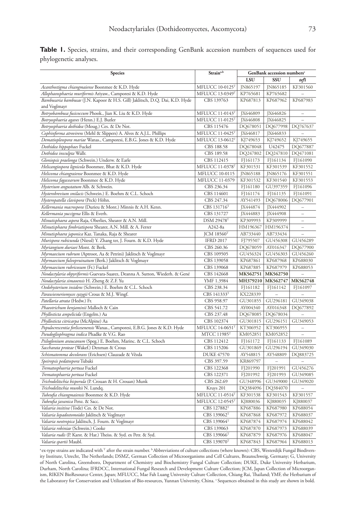|                        |  |  |  |  | <b>Table 1.</b> Species, strains, and their corresponding GenBank accession numbers of sequences used for |  |
|------------------------|--|--|--|--|-----------------------------------------------------------------------------------------------------------|--|
| phylogenetic analyses. |  |  |  |  |                                                                                                           |  |

| Species                                                                      | Strain <sup>a,b</sup>         | GenBank accession numbers <sup>c</sup> |          |          |  |
|------------------------------------------------------------------------------|-------------------------------|----------------------------------------|----------|----------|--|
|                                                                              |                               | LSU                                    | SSU      | tefl     |  |
| Acanthostigma chiangmaiense Boonmee & K.D. Hyde                              | MFLUCC 10-0125T               | JN865197                               | JN865185 | KF301560 |  |
| Allophaeosphaeria muriformis Ariyaw., Camporesi & K.D. Hyde                  | MFLUCC 13-0349T               | KP765681                               | KP765682 |          |  |
| Bambusaria bambusae (J.N. Kapoor & H.S. Gill) Jaklitsch, D.Q. Dai, K.D. Hyde | CBS 139763                    | KP687813                               | KP687962 | KP687983 |  |
| and Voglmayr                                                                 |                               |                                        |          |          |  |
| Botryobambusa fusicoccum Phook., Jian K. Liu & K.D. Hyde                     | MFLUCC 11-0143T               | <b>IX646809</b>                        | JX646826 |          |  |
| Botryosphaeria agaves (Henn.) E.J. Butler                                    | MFLUCC 11-0125T               | JX646808                               | JX646825 |          |  |
| Botryosphaeria dothidea (Moug.) Ces. & De Not.                               | CBS 115476                    | DQ678051                               | DQ677998 | DQ767637 |  |
| Cophinforma atrovirens (Mehl & Slippers) A. Alves & A.J.L. Phillips          | MFLUCC 11-0425T               | JX646817                               | JX646833 |          |  |
| Dematiopleospora mariae Wanas., Camporesi, E.B.G. Jones & K.D. Hyde          | MFLUCC 13-0612T               | KJ749653                               | KJ749652 | KJ749655 |  |
| Dothidea hippophaes Fuckel                                                   | CBS 188.58                    | DQ678048                               | U42475   | DQ677887 |  |
| Dothidea insculpta Wallr.                                                    | CBS 189.58                    | DQ247802                               | DQ247810 | DQ471081 |  |
| Gloniopsis praelonga (Schwein.) Underw. & Earle                              | CBS 112415                    | FJ161173                               | FJ161134 | FJ161090 |  |
| Helicangiospora lignicola Boonmee, Bhat & K.D. Hyde                          | MFLUCC 11-0378T               | KF301531                               | KF301539 | KF301552 |  |
| Helicoma chiangraiense Boonmee & K.D. Hyde                                   | MFLUCC 10-0115                | <b>IN865188</b>                        | JN865176 | KF301551 |  |
| Helicoma fagacearum Boonmee & K.D. Hyde                                      | MFLUCC 11-0379                | KF301532                               | KF301540 | KF301553 |  |
| Hysterium angustatum Alb. & Schwein.                                         | CBS 236.34                    | FJ161180                               | GU397359 | FJ161096 |  |
| Hysterobrevium smilacis (Schwein.) E. Boehm & C.L. Schoch                    | CBS 114601                    | FJ161174                               | FJ161135 | FJ161091 |  |
| Hysteropatella clavispora (Peck) Höhn.                                       | CBS 247.34                    | AY541493                               | DQ678006 | DQ677901 |  |
| Kellermania macrospora (Durieu & Mont.) Minnis & A.H. Kenn.                  | CBS 131716T                   | JX444874                               | JX444902 |          |  |
| Kellermania yuccigena Ellis & Everh.                                         | CBS 131727                    | JX444883                               | JX444908 | ÷,       |  |
| Minutisphaera aspera Raja, Oberlies, Shearer & A.N. Mill.                    | <b>DSM 29478</b> <sup>T</sup> | KP309993                               | KP309999 | $\equiv$ |  |
| Minutisphaera fimbriatispora Shearer, A.N. Mill. & A. Ferrer                 | A242-8a                       | HM196367                               | HM196374 | $\equiv$ |  |
| Minutisphaera japonica Kaz. Tanaka, Raja & Shearer                           | $ICM$ 18560 <sup>T</sup>      | AB733440                               | AB733434 |          |  |
| Murispora rubicunda (Niessl) Y. Zhang ter, J. Fourn. & K.D. Hyde             | <b>IFRD 2017</b>              | FJ795507                               | GU456308 | GU456289 |  |
| Myriangium duriaei Mont. & Berk.                                             | CBS 260.36                    | DQ678059                               | AY016347 | DQ677900 |  |
| Myrmaecium rubrum (Aptroot, Aa & Petrini) Jaklitsch & Voglmayr               | CBS 109505                    | GU456324                               | GU456303 | GU456260 |  |
| Myrmaecium fulvopruinatum (Berk.) Jaklitsch & Voglmayr                       | CBS 139058                    | KP687861                               | KP687968 | KP688030 |  |
| Myrmaecium rubricosum (Fr.) Fuckel                                           | CBS 139068                    | KP687885                               | KP687979 | KP688053 |  |
| Neodactylaria obpyriformis Guevara-Suarez, Deanna A. Sutton, Wiederh. & Gené | CBS 142668                    | MK562751                               | MK562750 |          |  |
| Neodactylaria simaoensis H. Zheng & Z.F. Yu                                  | YMF 1.3984                    | MH379210                               | MK562747 | MK562748 |  |
| Oedohysterium insidens (Schwein.) E. Boehm & C.L. Schoch                     | CBS 238.34                    | FJ161182                               | FJ161142 | FJ161097 |  |
| Parawiesneriomyces syzygii Crous & M.J. Wingf.                               | CBS 141333T                   | KX228339                               |          |          |  |
| Patellaria atrata (Hedw.) Fr.                                                | CBS 958.97                    | GU301855                               | GU296181 | GU349038 |  |
| Phaeotrichum benjaminii Malloch & Cain                                       | CBS 541.72                    | AY004340                               | AY016348 | DQ677892 |  |
| Phyllosticta ampelicida (Engelm.) Aa                                         | CBS 237.48                    | DQ678085                               | DQ678034 |          |  |
| Phyllosticta citricarpa (McAlpine) Aa                                        | CBS 102374                    | GU301815                               | GU296151 | GU349053 |  |
| Populocrescentia forlicesenensis Wanas., Camporesi, E.B.G. Jones & K.D. Hyde | MFLUCC 14-0651T               | KT306952                               | KT306955 | $\equiv$ |  |
| Pseudogliophragma indica Phadke & V.G. Rao                                   | MTCC 11985 <sup>T</sup>       | KM052851                               | KM052852 |          |  |
| Psiloglonium araucanum (Speg.) E. Boehm, Marinc. & C.L. Schoch               | CBS 112412                    | FJ161172                               | FJ161133 | FJ161089 |  |
| Saccharata proteae (Wakef.) Denman & Crous                                   | CBS 115206                    | GU301869                               | GU296194 | GU349030 |  |
| Schismatomma decolorans (Erichsen) Clauzade & Vězda                          | <b>DUKE 47570</b>             | AY548815                               | AY548809 | DQ883725 |  |
| Speiropsis pedatospora Tubaki                                                | CBS 397.59                    | KR869797                               |          |          |  |
| Trematosphaeria pertusa Fuckel                                               | CBS 122368                    | FJ201990                               | FJ201991 | GU456276 |  |
| Trematosphaeria pertusa Fuckel                                               | CBS 122371                    | FJ201992                               | FJ201993 | GU349085 |  |
| Trichodelitschia bisporula (P. Crouan & H. Crouan) Munk                      | CBS 262.69                    | GU348996                               | GU349000 | GU349020 |  |
| Trichodelitschia munkii N. Lundq.                                            | Kruys 201                     | DQ384096                               | DQ384070 |          |  |
| Tubeufia chiangmaiensis Boonmee & K.D. Hyde                                  | MFLUCC 11-0514T               | KF301538                               | KF301543 | KF301557 |  |
| Tubeufia javanica Penz. & Sacc.                                              | MFLUCC 12-0545T               | KJ880036                               | KJ880035 | KJ880037 |  |
| Valsaria insitiva (Tode) Ces. & De Not.                                      | CBS 127882 <sup>T</sup>       | KP687886                               | KP687980 | KP688054 |  |
| Valsaria lopadostomoides Jaklitsch & Voglmayr                                | CBS 139062 <sup>T</sup>       | KP687868                               | KP687972 | KP688037 |  |
| Valsaria neotropica Jaklitsch, J. Fourn. & Voglmayr                          | CBS 139064 <sup>T</sup>       | KP687874                               | KP687974 | KP688042 |  |
| Valsaria robiniae (Schwein.) Cooke                                           | CBS 139063                    | KP687870                               | KP687973 | KP688039 |  |
| Valsaria rudis (P. Karst. & Har.) Theiss. & Syd. ex Petr. & Syd.             | CBS 139066 <sup>T</sup>       | KP687879                               | KP687976 | KP688047 |  |
| Valsaria spartii Maubl.                                                      | CBS 139070T                   | KP687843                               | KP687964 | KP688013 |  |

 $^{\rm a}$ ex-type strains are indicated with <sup>T</sup> after the strain number.  $^{\rm b}$  Abbreviations of culture collections (where known): CBS, Westerdijk Fungal Biodiversity Institute, Utrecht, The Netherlands; DSMZ, German Collection of Microorganisms and Cell Cultures, Braunschweig, Germany; G, University of North Carolina, Greensboro, Department of Chemistry and Biochemistry Fungal Culture Collection; DUKE, Duke University Herbarium, Durham, North Carolina; IFRDCC, International Fungal Research and Development Culture Collection; JCM, Japan Collection of Microorganism, RIKEN BioResource Center, Japan; MFLUCC, Mae Fah Luang University Culture Collection, Chiang Rai, Thailand; YMF, the Herbarium of the Laboratory for Conservation and Utilization of Bio-resources, Yunnan University, China. "Sequences obtained in this study are shown in bold.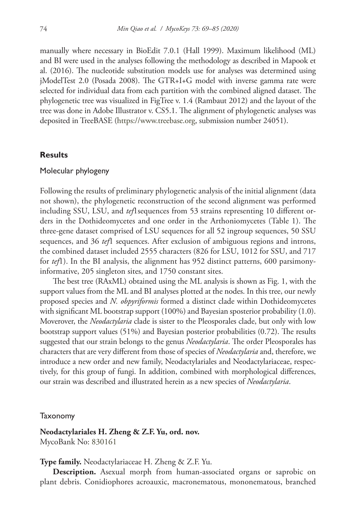manually where necessary in BioEdit 7.0.1 (Hall 1999). Maximum likelihood (ML) and BI were used in the analyses following the methodology as described in Mapook et al. (2016). The nucleotide substitution models use for analyses was determined using jModelTest 2.0 (Posada 2008). The GTR+I+G model with inverse gamma rate were selected for individual data from each partition with the combined aligned dataset. The phylogenetic tree was visualized in FigTree v. 1.4 (Rambaut 2012) and the layout of the tree was done in Adobe Illustrator v. CS5.1. The alignment of phylogenetic analyses was deposited in TreeBASE (<https://www.treebase.org>, submission number 24051).

#### **Results**

#### Molecular phylogeny

Following the results of preliminary phylogenetic analysis of the initial alignment (data not shown), the phylogenetic reconstruction of the second alignment was performed including SSU, LSU, and *tef*1sequences from 53 strains representing 10 different orders in the Dothideomycetes and one order in the Arthoniomycetes (Table 1). The three-gene dataset comprised of LSU sequences for all 52 ingroup sequences, 50 SSU sequences, and 36 *tef*1 sequences. After exclusion of ambiguous regions and introns, the combined dataset included 2555 characters (826 for LSU, 1012 for SSU, and 717 for *tef*1). In the BI analysis, the alignment has 952 distinct patterns, 600 parsimonyinformative, 205 singleton sites, and 1750 constant sites.

The best tree (RAxML) obtained using the ML analysis is shown as Fig. 1, with the support values from the ML and BI analyses plotted at the nodes. In this tree, our newly proposed species and *N. obpyriformis* formed a distinct clade within Dothideomycetes with significant ML bootstrap support (100%) and Bayesian sposterior probability (1.0). Moverover, the *Neodactylaria* clade is sister to the Pleosporales clade, but only with low bootstrap support values (51%) and Bayesian posterior probabilities (0.72). The results suggested that our strain belongs to the genus *Neodactylaria*. The order Pleosporales has characters that are very different from those of species of *Neodactylaria* and, therefore, we introduce a new order and new family, Neodactylariales and Neodactylariaceae, respectively, for this group of fungi. In addition, combined with morphological differences, our strain was described and illustrated herein as a new species of *Neodactylaria*.

**Taxonomy** 

**Neodactylariales H. Zheng & Z.F. Yu, ord. nov.** MycoBank No: [830161](http://www.mycobank.org/MycoTaxo.aspx?Link=T&Rec=830161)

**Type family.** Neodactylariaceae H. Zheng & Z.F. Yu.

**Description.** Asexual morph from human-associated organs or saprobic on plant debris. Conidiophores acroauxic, macronematous, mononematous, branched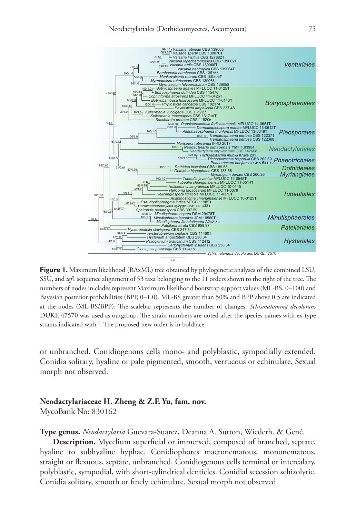

**Figure 1.** Maximum likelihood (RAxML) tree obtained by phylogenetic analyses of the combined LSU, SSU, and *tef*1 sequence alignment of 53 taxa belonging to the 11 orders shown to the right of the tree. The numbers of nodes in clades represent Maximum likelihood bootstrap support values (ML-BS, 0–100) and Bayesian posterior probabilities (BPP, 0–1.0). ML-BS greater than 50% and BPP above 0.5 are indicated at the nodes (ML-BS/BPP). The scalebar represents the number of changes. *Schismatomma decolorans* DUKE 47570 was used as outgroup. The strain numbers are noted after the species names with ex-type strains indicated with  $\mathsf{T}$ . The proposed new order is in boldface.

or unbranched. Conidiogenous cells mono- and polyblastic, sympodially extended. Conidia solitary, hyaline or pale pigmented, smooth, verrucous or echinulate. Sexual morph not observed.

#### **Neodactylariaceae H. Zheng & Z.F. Yu, fam. nov.**

MycoBank No: [830162](http://www.mycobank.org/MycoTaxo.aspx?Link=T&Rec=830162)

**Type genus.** *Neodactylaria* Guevara-Suarez, Deanna A. Sutton, Wiederh. & Gené.

**Description.** Mycelium superficial or immersed, composed of branched, septate, hyaline to subhyaline hyphae. Conidiophores macronematous, mononematous, straight or flexuous, septate, unbranched. Conidiogenous cells terminal or intercalary, polyblastic, sympodial, with short-cylindrical denticles. Conidial secession schizolytic. Conidia solitary, smooth or finely echinulate. Sexual morph not observed.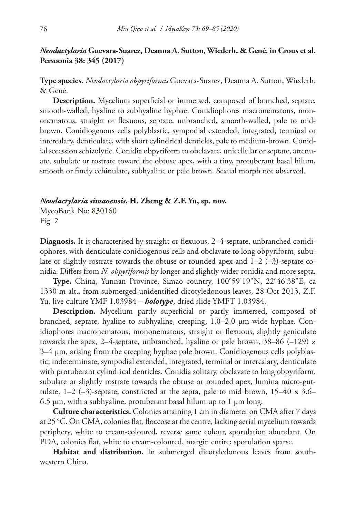# *Neodactylaria* **Guevara-Suarez, Deanna A. Sutton, Wiederh. & Gené, in Crous et al. Persoonia 38: 345 (2017)**

**Type species.** *Neodactylaria obpyriformis* Guevara-Suarez, Deanna A. Sutton, Wiederh. & Gené.

**Description.** Mycelium superficial or immersed, composed of branched, septate, smooth-walled, hyaline to subhyaline hyphae. Conidiophores macronematous, mononematous, straight or flexuous, septate, unbranched, smooth-walled, pale to midbrown. Conidiogenous cells polyblastic, sympodial extended, integrated, terminal or intercalary, denticulate, with short cylindrical denticles, pale to medium-brown. Conidial secession schizolytic. Conidia obpyriform to obclavate, unicellular or septate, attenuate, subulate or rostrate toward the obtuse apex, with a tiny, protuberant basal hilum, smooth or finely echinulate, subhyaline or pale brown. Sexual morph not observed.

#### *Neodactylaria simaoensis***, H. Zheng & Z.F. Yu, sp. nov.**

MycoBank No: [830160](http://www.mycobank.org/MycoTaxo.aspx?Link=T&Rec=830160) Fig. 2

**Diagnosis.** It is characterised by straight or flexuous, 2–4-septate, unbranched conidiophores, with denticulate conidiogenous cells and obclavate to long obpyriform, subulate or slightly rostrate towards the obtuse or rounded apex and 1–2 (–3)-septate conidia. Differs from *N. obpyriformis* by longer and slightly wider conidia and more septa*.*

**Type.** China, Yunnan Province, Simao country, 100°59'19"N, 22°46'38"E, ca 1330 m alt., from submerged unidentified dicotyledonous leaves, 28 Oct 2013, Z.F. Yu, live culture YMF 1.03984 – *holotype*, dried slide YMFT 1.03984.

**Description.** Mycelium partly superficial or partly immersed, composed of branched, septate, hyaline to subhyaline, creeping, 1.0–2.0 μm wide hyphae. Conidiophores macronematous, mononematous, straight or flexuous, slightly geniculate towards the apex, 2–4-septate, unbranched, hyaline or pale brown, 38–86 (–129)  $\times$  $3-4 \mu m$ , arising from the creeping hyphae pale brown. Conidiogenous cells polyblastic, indeterminate, sympodial extended, integrated, terminal or intercalary, denticulate with protuberant cylindrical denticles. Conidia solitary, obclavate to long obpyriform, subulate or slightly rostrate towards the obtuse or rounded apex, lumina micro-guttulate,  $1-2$  (-3)-septate, constricted at the septa, pale to mid brown,  $15-40 \times 3.6-$ 6.5 μm, with a subhyaline, protuberant basal hilum up to 1 μm long.

**Culture characteristics.** Colonies attaining 1 cm in diameter on CMA after 7 days at 25 °C. On CMA, colonies flat, floccose at the centre, lacking aerial mycelium towards periphery, white to cream-coloured, reverse same colour, sporulation abundant. On PDA, colonies flat, white to cream-coloured, margin entire; sporulation sparse.

**Habitat and distribution.** In submerged dicotyledonous leaves from southwestern China.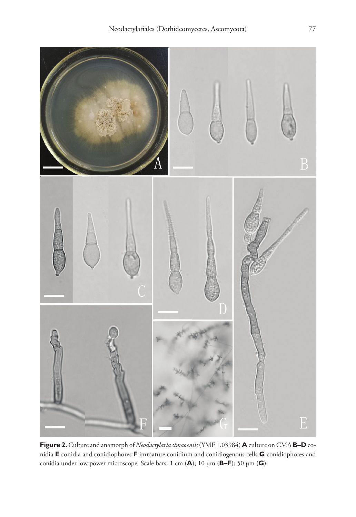

**Figure 2.** Culture and anamorph of *Neodactylaria simaoensis* (YMF 1.03984) **A** culture on CMA **B–D** conidia **E** conidia and conidiophores **F** immature conidium and conidiogenous cells **G** conidiophores and conidia under low power microscope. Scale bars: 1 cm (**A**); 10 μm (**B–F**); 50 μm (**G**).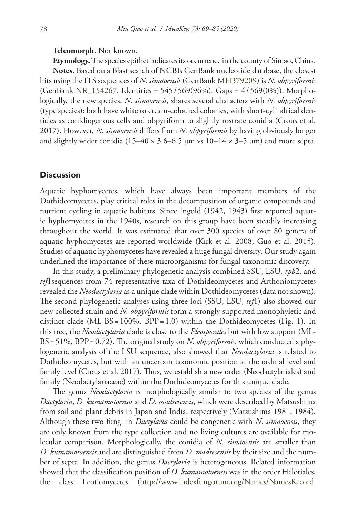#### **Teleomorph.** Not known.

**Etymology.** The species epithet indicates its occurrence in the county of Simao, China. **Notes.** Based on a Blast search of NCBIs GenBank nucleotide database, the closest hits using the ITS sequences of *N. simaoensis* (GenBank [MH379209\)](http://www.ncbi.nlm.nih.gov/nuccore/MH379209) is *N. obpyriformis* (GenBank [NR\\_154267,](http://www.ncbi.nlm.nih.gov/nuccore/NR_154267) Identities = 545/ 569(96%), Gaps = 4/569(0%)). Morphologically, the new species, *N. simaoensis*, shares several characters with *N. obpyriformis* (type species): both have white to cream-coloured colonies, with short-cylindrical denticles as conidiogenous cells and obpyriform to slightly rostrate conidia (Crous et al. 2017). However, *N. simaoensis* differs from *N. obpyriformis* by having obviously longer and slightly wider conidia (15–40  $\times$  3.6–6.5 µm vs 10–14  $\times$  3–5 µm) and more septa.

## **Discussion**

Aquatic hyphomycetes, which have always been important members of the Dothideomycetes, play critical roles in the decomposition of organic compounds and nutrient cycling in aquatic habitats. Since Ingold (1942, 1943) first reported aquatic hyphomycetes in the 1940s, research on this group have been steadily increasing throughout the world. It was estimated that over 300 species of over 80 genera of aquatic hyphomycetes are reported worldwide (Kirk et al. 2008; Guo et al. 2015). Studies of aquatic hyphomycetes have revealed a huge fungal diversity. Our study again underlined the importance of these microorganisms for fungal taxonomic discovery.

In this study, a preliminary phylogenetic analysis combined SSU, LSU, *rpb*2, and *tef*1sequences from 74 representative taxa of Dothideomycetes and Arthoniomycetes revealed the *Neodactylaria* as a unique clade within Dothideomycetes (data not shown). The second phylogenetic analyses using three loci (SSU, LSU, *tef*1) also showed our new collected strain and *N. obpyriformis* form a strongly supported monophyletic and distinct clade (ML-BS = 100%,  $BPP = 1.0$ ) within the Dothideomycetes (Fig. 1). In this tree, the *Neodactylaria* clade is close to the *Pleosporales* but with low support (ML-BS = 51%, BPP=0.72). The original study on *N. obpyriformis*, which conducted a phylogenetic analysis of the LSU sequence, also showed that *Neodactylaria* is related to Dothideomycetes, but with an uncertain taxonomic position at the ordinal level and family level (Crous et al. 2017). Thus, we establish a new order (Neodactylariales) and family (Neodactylariaceae) within the Dothideomycetes for this unique clade.

The genus *Neodactylaria* is morphologically similar to two species of the genus *Dactylaria*, *D. kumamotoensis* and *D. madresensis*, which were described by Matsushima from soil and plant debris in Japan and India, respectively (Matsushima 1981, 1984). Although these two fungi in *Dactylaria* could be congeneric with *N. simaoensis*, they are only known from the type collection and no living cultures are available for molecular comparison. Morphologically, the conidia of *N. simaoensis* are smaller than *D. kumamotoensis* and are distinguished from *D. madresensis* by their size and the number of septa. In addition, the genus *Dactylaria* is heterogeneous. Related information showed that the classification position of *D. kumamotoensis* was in the order Helotiales, the class Leotiomycetes [\(http://www.indexfungorum.org/Names/NamesRecord.](http://www.indexfungorum.org/Names/NamesRecord.asp?RecordID=111390)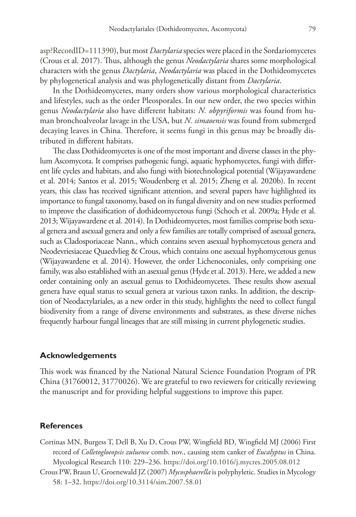[asp?RecordID=111390\)](http://www.indexfungorum.org/Names/NamesRecord.asp?RecordID=111390), but most *Dactylaria* species were placed in the Sordariomycetes (Crous et al. 2017). Thus, although the genus *Neodactylaria* shares some morphological characters with the genus *Dactylaria*, *Neodactylaria* was placed in the Dothideomycetes by phylogenetical analysis and was phylogenetically distant from *Dactylaria*.

In the Dothideomycetes, many orders show various morphological characteristics and lifestyles, such as the order Pleosporales. In our new order, the two species within genus *Neodactylaria* also have different habitats: *N. obpyriformis* was found from human bronchoalveolar lavage in the USA, but *N. simaoensis* was found from submerged decaying leaves in China. Therefore, it seems fungi in this genus may be broadly distributed in different habitats.

The class Dothideomycetes is one of the most important and diverse classes in the phylum Ascomycota. It comprises pathogenic fungi, aquatic hyphomycetes, fungi with different life cycles and habitats, and also fungi with biotechnological potential (Wijayawardene et al. 2014; Santos et al. 2015; Woudenberg et al. 2015; Zheng et al. 2020b). In recent years, this class has received significant attention, and several papers have highlighted its importance to fungal taxonomy, based on its fungal diversity and on new studies performed to improve the classification of dothideomycetous fungi (Schoch et al. 2009a; Hyde et al. 2013; Wijayawardene et al. 2014). In Dothideomycetes, most families comprise both sexual genera and asexual genera and only a few families are totally comprised of asexual genera, such as Cladosporiaceae Nann., which contains seven asexual hyphomycetous genera and Neodevriesiaceae Quaedvlieg & Crous, which contains one asexual hyphomycetous genus (Wijayawardene et al. 2014). However, the order Lichenoconiales, only comprising one family, was also established with an asexual genus (Hyde et al. 2013). Here, we added a new order containing only an asexual genus to Dothideomycetes. These results show asexual genera have equal status to sexual genera at various taxon ranks. In addition, the description of Neodactylariales, as a new order in this study, highlights the need to collect fungal biodiversity from a range of diverse environments and substrates, as these diverse niches frequently harbour fungal lineages that are still missing in current phylogenetic studies.

#### **Acknowledgements**

This work was financed by the National Natural Science Foundation Program of PR China (31760012, 31770026). We are grateful to two reviewers for critically reviewing the manuscript and for providing helpful suggestions to improve this paper.

#### **References**

- Cortinas MN, Burgess T, Dell B, Xu D, Crous PW, Wingfield BD, Wingfield MJ (2006) First record of *Colletogloeopsis zuluense* comb. nov., causing stem canker of *Eucalyptus* in China. Mycological Research 110: 229–236.<https://doi.org/10.1016/j.mycres.2005.08.012>
- Crous PW, Braun U, Groenewald JZ (2007) *Mycosphaerella* is polyphyletic. Studies in Mycology 58: 1–32.<https://doi.org/10.3114/sim.2007.58.01>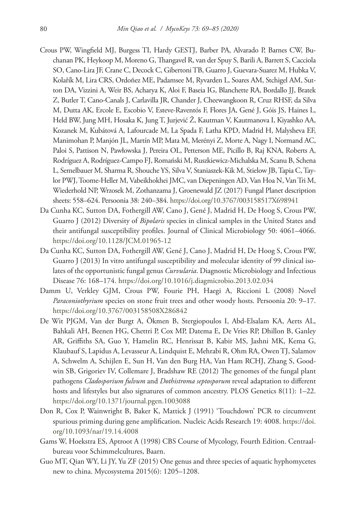- Crous PW, Wingfield MJ, Burgess TI, Hardy GESTJ, Barber PA, Alvarado P, Barnes CW, Buchanan PK, Heykoop M, Moreno G, Thangavel R, van der Spuy S, Barili A, Barrett S, Cacciola SO, Cano-Lira JF, Crane C, Decock C, Gibertoni TB, Guarro J, Guevara-Suarez M, Hubka V, Kolařík M, Lira CRS, Ordoñez ME, Padamsee M, Ryvarden L, Soares AM, Stchigel AM, Sutton DA, Vizzini A, Weir BS, Acharya K, Aloi F, Baseia IG, Blanchette RA, Bordallo JJ, Bratek Z, Butler T, Cano-Canals J, Carlavilla JR, Chander J, Cheewangkoon R, Cruz RHSF, da Silva M, Dutta AK, Ercole E, Escobio V, Esteve-Raventós F, Flores JA, Gené J, Góis JS, Haines L, Held BW, Jung MH, Hosaka K, Jung T, Jurjević Ž, Kautman V, Kautmanova I, Kiyashko AA, Kozanek M, Kubátová A, Lafourcade M, La Spada F, Latha KPD, Madrid H, Malysheva EF, Manimohan P, Manjón JL, Martín MP, Mata M, Merényi Z, Morte A, Nagy I, Normand AC, Paloi S, Pattison N, Pawłowska J, Pereira OL, Petterson ME, Picillo B, Raj KNA, Roberts A, Rodríguez A, Rodríguez-Campo FJ, Romański M, Ruszkiewicz-Michalska M, Scanu B, Schena L, Semelbauer M, Sharma R, Shouche YS, Silva V, Staniaszek-Kik M, Stielow JB, Tapia C, Taylor PWJ, Toome-Heller M, Vabeikhokhei JMC, van Diepeningen AD, Van Hoa N, Van Tri M, Wiederhold NP, Wrzosek M, Zothanzama J, Groenewald JZ (2017) Fungal Planet description sheets: 558–624. Persoonia 38: 240–384. <https://doi.org/10.3767/003158517X698941>
- Da Cunha KC, Sutton DA, Fothergill AW, Cano J, Gené J, Madrid H, De Hoog S, Crous PW, Guarro J (2012) Diversity of *Bipolaris* species in clinical samples in the United States and their antifungal susceptibility profiles. Journal of Clinical Microbiology 50: 4061–4066. <https://doi.org/10.1128/JCM.01965-12>
- Da Cunha KC, Sutton DA, Fothergill AW, Gené J, Cano J, Madrid H, De Hoog S, Crous PW, Guarro J (2013) In vitro antifungal susceptibility and molecular identity of 99 clinical isolates of the opportunistic fungal genus *Curvularia*. Diagnostic Microbiology and Infectious Disease 76: 168–174. <https://doi.org/10.1016/j.diagmicrobio.2013.02.034>
- Damm U, Verkley GJM, Crous PW, Fourie PH, Haegi A, Riccioni L (2008) Novel *Paraconiothyrium* species on stone fruit trees and other woody hosts. Persoonia 20: 9–17. <https://doi.org/10.3767/003158508X286842>
- De Wit PJGM, Van der Burgt A, Ökmen B, Stergiopoulos I, Abd-Elsalam KA, Aerts AL, Bahkali AH, Beenen HG, Chettri P, Cox MP, Datema E, De Vries RP, Dhillon B, Ganley AR, Griffiths SA, Guo Y, Hamelin RC, Henrissat B, Kabir MS, Jashni MK, Kema G, Klaubauf S, Lapidus A, Levasseur A, Lindquist E, Mehrabi R, Ohm RA, Owen TJ, Salamov A, Schwelm A, Schijlen E, Sun H, Van den Burg HA, Van Ham RCHJ, Zhang S, Goodwin SB, Grigoriev IV, Collemare J, Bradshaw RE (2012) The genomes of the fungal plant pathogens *Cladosporium fulvum* and *Dothistroma septosporum* reveal adaptation to different hosts and lifestyles but also signatures of common ancestry. PLOS Genetics 8(11): 1–22. <https://doi.org/10.1371/journal.pgen.1003088>
- Don R, Cox P, Wainwright B, Baker K, Mattick J (1991) 'Touchdown' PCR to circumvent spurious priming during gene amplification. Nucleic Acids Research 19: 4008. [https://doi.](https://doi.org/10.1093/nar/19.14.4008) [org/10.1093/nar/19.14.4008](https://doi.org/10.1093/nar/19.14.4008)
- Gams W, Hoekstra ES, Aptroot A (1998) CBS Course of Mycology, Fourth Edition. Centraalbureau voor Schimmelcultures, Baarn.
- Guo MT, Qian WY, Li JY, Yu ZF (2015) One genus and three species of aquatic hyphomycetes new to china. Mycosystema 2015(6): 1205–1208.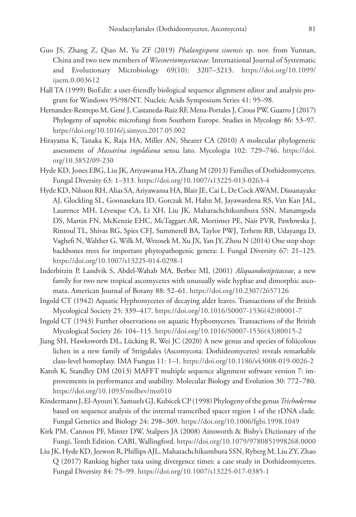- Guo JS, Zhang Z, Qiao M, Yu ZF (2019) *Phalangispora sinensis* sp. nov. from Yunnan, China and two new members of *Wiesneriomycetaceae*. International Journal of Systematic and Evolutionary Microbiology 69(10): 3207–3213. [https://doi.org/10.1099/](https://doi.org/10.1099/ijsem.0.003612) [ijsem.0.003612](https://doi.org/10.1099/ijsem.0.003612)
- Hall TA (1999) BioEdit: a user-friendly biological sequence alignment editor and analysis program for Windows 95/98/NT. Nucleic Acids Symposium Series 41: 95–98.
- Hernandez-Restrepo M, Gené J, Castaneda-Ruiz RF, Mena-Portales J, Crous PW, Guarro J (2017) Phylogeny of saprobic microfungi from Southern Europe. Studies in Mycology 86: 53–97. <https://doi.org/10.1016/j.simyco.2017.05.002>
- Hirayama K, Tanaka K, Raja HA, Miller AN, Shearer CA (2010) A molecular phylogenetic assessment of *Massarina ingoldiana* sensu lato. Mycologia 102: 729–746. [https://doi.](https://doi.org/10.3852/09-230) [org/10.3852/09-230](https://doi.org/10.3852/09-230)
- Hyde KD, Jones EBG, Liu JK, Ariyawansa HA, Zhang M (2013) Families of Dothideomycetes. Fungal Diversity 63: 1–313. <https://doi.org/10.1007/s13225-013-0263-4>
- Hyde KD, Nilsson RH, Alias SA, Ariyawansa HA, Blair JE, Cai L, De Cock AWAM, Dissanayake AJ, Glockling SL, Goonasekara ID, Gorczak M, Hahn M, Jayawardena RS, Van Kan JAL, Laurence MH, Lévesque CA, Li XH, Liu JK, Maharachchikumbura SSN, Manamgoda DS, Martin FN, McKenzie EHC, McTaggart AR, Mortimer PE, Nair PVR, Pawłowska J, Rintoul TL, Shivas RG, Spies CFJ, Summerell BA, Taylor PWJ, Terhem RB, Udayanga D, Vaghefi N, Walther G, Wilk M, Wrzosek M, Xu JX, Yan JY, Zhou N (2014) One stop shop: backbones trees for important phytopathogenic genera: I. Fungal Diversity 67: 21–125. <https://doi.org/10.1007/s13225-014-0298-1>
- Inderbitzin P, Landvik S, Abdel-Wahab MA, Berbee ML (2001) *Aliquandostipitaceae*, a new family for two new tropical ascomycetes with unusually wide hyphae and dimorphic ascomata. American Journal of Botany 88: 52–61.<https://doi.org/10.2307/2657126>
- Ingold CT (1942) Aquatic Hyphomycetes of decaying alder leaves. Transactions of the British Mycological Society 25: 339–417. [https://doi.org/10.1016/S0007-1536\(42\)80001-7](https://doi.org/10.1016/S0007-1536(42)80001-7)
- Ingold CT (1943) Further observations on aquatic Hyphomycetes. Transactions of the British Mycological Society 26: 104–115. [https://doi.org/10.1016/S0007-1536\(43\)80015-2](https://doi.org/10.1016/S0007-1536(43)80015-2)
- Jiang SH, Hawksworth DL, Lücking R, Wei JC (2020) A new genus and species of foliicolous lichen in a new family of Strigulales (Ascomycota: Dothideomycetes) reveals remarkable class-level homoplasy. IMA Fungus 11: 1–1. <https://doi.org/10.1186/s43008-019-0026-2>
- Katoh K, Standley DM (2013) MAFFT multiple sequence alignment software version 7: improvements in performance and usability. Molecular Biology and Evolution 30: 772–780. <https://doi.org/10.1093/molbev/mst010>
- Kindermann J, El-Ayouti Y, Samuels GJ, Kubicek CP (1998) Phylogeny of the genus *Trichoderma* based on sequence analysis of the internal transcribed spacer region 1 of the rDNA clade. Fungal Genetics and Biology 24: 298–309.<https://doi.org/10.1006/fgbi.1998.1049>
- Kirk PM, Cannon PF, Minter DW, Stalpers JA (2008) Ainsworth & Bisby's Dictionary of the Fungi, Tenth Edition. CABI, Wallingford.<https://doi.org/10.1079/9780851998268.0000>
- Liu JK, Hyde KD, Jeewon R, Phillips AJL, Maharachchikumbura SSN, Ryberg M, Liu ZY, Zhao Q (2017) Ranking higher taxa using divergence times: a case study in Dothideomycetes. Fungal Diversity 84: 75–99. <https://doi.org/10.1007/s13225-017-0385-1>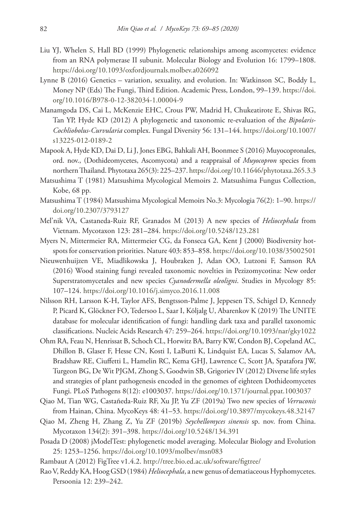- Liu YJ, Whelen S, Hall BD (1999) Phylogenetic relationships among ascomycetes: evidence from an RNA polymerase II subunit. Molecular Biology and Evolution 16: 1799–1808. <https://doi.org/10.1093/oxfordjournals.molbev.a026092>
- Lynne B (2016) Genetics variation, sexuality, and evolution. In: Watkinson SC, Boddy L, Money NP (Eds) The Fungi, Third Edition. Academic Press, London, 99–139. [https://doi.](https://doi.org/10.1016/B978-0-12-382034-1.00004-9) [org/10.1016/B978-0-12-382034-1.00004-9](https://doi.org/10.1016/B978-0-12-382034-1.00004-9)
- Manamgoda DS, Cai L, McKenzie EHC, Crous PW, Madrid H, Chukeatirote E, Shivas RG, Tan YP, Hyde KD (2012) A phylogenetic and taxonomic re-evaluation of the *Bipolaris*-*Cochliobolus*-*Curvularia* complex. Fungal Diversity 56: 131–144. [https://doi.org/10.1007/](https://doi.org/10.1007/s13225-012-0189-2) [s13225-012-0189-2](https://doi.org/10.1007/s13225-012-0189-2)
- Mapook A, Hyde KD, Dai D, Li J, Jones EBG, Bahkali AH, Boonmee S (2016) Muyocopronales, ord. nov., (Dothideomycetes, Ascomycota) and a reappraisal of *Muyocopron* species from northern Thailand. Phytotaxa 265(3): 225–237.<https://doi.org/10.11646/phytotaxa.265.3.3>
- Matsushima T (1981) Matsushima Mycological Memoirs 2. Matsushima Fungus Collection, Kobe, 68 pp.
- Matsushima T (1984) Matsushima Mycological Memoirs No.3: Mycologia 76(2): 1–90. [https://](https://doi.org/10.2307/3793127) [doi.org/10.2307/3793127](https://doi.org/10.2307/3793127)
- Mel'nik VA, Castaneda-Ruiz RF, Granados M (2013) A new species of *Heliocephala* from Vietnam. Mycotaxon 123: 281–284. <https://doi.org/10.5248/123.281>
- Myers N, Mittermeier RA, Mittermeier CG, da Fonseca GA, Kent J (2000) Biodiversity hotspots for conservation priorities. Nature 403: 853–858.<https://doi.org/10.1038/35002501>
- Nieuwenhuijzen VE, Miadlikowska J, Houbraken J, Adan OO, Lutzoni F, Samson RA (2016) Wood staining fungi revealed taxonomic novelties in Pezizomycotina: New order Superstratomycetales and new species *Cyanodermella oleoligni*. Studies in Mycology 85: 107–124.<https://doi.org/10.1016/j.simyco.2016.11.008>
- Nilsson RH, Larsson K-H, Taylor AFS, Bengtsson-Palme J, Jeppesen TS, Schigel D, Kennedy P, Picard K, Glöckner FO, Tedersoo L, Saar I, Kõljalg U, Abarenkov K (2019) The UNITE database for molecular identification of fungi: handling dark taxa and parallel taxonomic classifications. Nucleic Acids Research 47: 259–264.<https://doi.org/10.1093/nar/gky1022>
- Ohm RA, Feau N, Henrissat B, Schoch CL, Horwitz BA, Barry KW, Condon BJ, Copeland AC, Dhillon B, Glaser F, Hesse CN, Kosti I, LaButti K, Lindquist EA, Lucas S, Salamov AA, Bradshaw RE, Ciuffetti L, Hamelin RC, Kema GHJ, Lawrence C, Scott JA, Spatafora JW, Turgeon BG, De Wit PJGM, Zhong S, Goodwin SB, Grigoriev IV (2012) Diverse life styles and strategies of plant pathogenesis encoded in the genomes of eighteen Dothideomycetes Fungi. PLoS Pathogens 8(12): e1003037. <https://doi.org/10.1371/journal.ppat.1003037>
- Qiao M, Tian WG, Castañeda-Ruiz RF, Xu JP, Yu ZF (2019a) Two new species of *Verruconis* from Hainan, China. MycoKeys 48: 41–53. <https://doi.org/10.3897/mycokeys.48.32147>
- Qiao M, Zheng H, Zhang Z, Yu ZF (2019b) *Seychellomyces sinensis* sp. nov. from China. Mycotaxon 134(2): 391–398. <https://doi.org/10.5248/134.391>
- Posada D (2008) jModelTest: phylogenetic model averaging. Molecular Biology and Evolution 25: 1253–1256.<https://doi.org/10.1093/molbev/msn083>
- Rambaut A (2012) FigTree v1.4.2.<http://tree.bio.ed.ac.uk/software/figtree/>
- Rao V, Reddy KA, Hoog GSD (1984) *Heliocephala*, a new genus of dematiaceous Hyphomycetes. Persoonia 12: 239–242.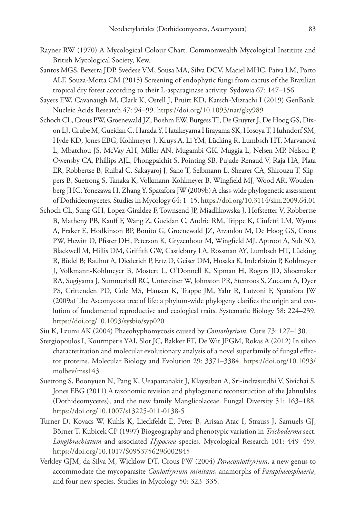- Rayner RW (1970) A Mycological Colour Chart. Commonwealth Mycological Institute and British Mycological Society, Kew.
- Santos MGS, Bezerra JDP, Svedese VM, Sousa MA, Silva DCV, Maciel MHC, Paiva LM, Porto ALF, Souza-Motta CM (2015) Screening of endophytic fungi from cactus of the Brazilian tropical dry forest according to their L-asparaginase activity. Sydowia 67: 147–156.
- Sayers EW, Cavanaugh M, Clark K, Ostell J, Pruitt KD, Karsch-Mizrachi I (2019) GenBank. Nucleic Acids Research 47: 94–99. <https://doi.org/10.1093/nar/gky989>
- Schoch CL, Crous PW, Groenewald JZ, Boehm EW, Burgess TI, De Gruyter J, De Hoog GS, Dixon LJ, Grube M, Gueidan C, Harada Y, Hatakeyama Hirayama SK, Hosoya T, Huhndorf SM, Hyde KD, Jones EBG, Kohlmeyer J, Kruys A, Li YM, Lücking R, Lumbsch HT, Marvanová L, Mbatchou JS, McVay AH, Miller AN, Mugambi GK, Muggia L, Nelsen MP, Nelson P, Owensby CA, Phillips AJL, Phongpaichit S, Pointing SB, Pujade-Renaud V, Raja HA, Plata ER, Robbertse B, Ruibal C, Sakayaroj J, Sano T, Selbmann L, Shearer CA, Shirouzu T, Slippers B, Suetrong S, Tanaka K, Volkmann-Kohlmeyer B, Wingfield MJ, Wood AR, Woudenberg JHC, Yonezawa H, Zhang Y, Spatafora JW (2009b) A class-wide phylogenetic assessment of Dothideomycetes. Studies in Mycology 64: 1–15.<https://doi.org/10.3114/sim.2009.64.01>
- Schoch CL, Sung GH, Lopez-Giraldez F, Townsend JP, Miadlikowska J, Hofstetter V, Robbertse B, Matheny PB, Kauff F, Wang Z, Gueidan C, Andrie RM, Trippe K, Ciufetti LM, Wynns A, Fraker E, Hodkinson BP, Bonito G, Groenewald JZ, Arzanlou M, De Hoog GS, Crous PW, Hewitt D, Pfister DH, Peterson K, Gryzenhout M, Wingfield MJ, Aptroot A, Suh SO, Blackwell M, Hillis DM, Griffith GW, Castlebury LA, Rossman AY, Lumbsch HT, Lücking R, Büdel B; Rauhut A, Diederich P, Ertz D, Geiser DM, Hosaka K, Inderbitzin P, Kohlmeyer J, Volkmann-Kohlmeyer B, Mostert L, O'Donnell K, Sipman H, Rogers JD, Shoemaker RA, Sugiyama J, Summerbell RC, Untereiner W, Johnston PR, Stenroos S, Zuccaro A, Dyer PS, Crittenden PD, Cole MS, Hansen K, Trappe JM, Yahr R, Lutzoni F, Spatafora JW (2009a) The Ascomycota tree of life: a phylum-wide phylogeny clarifies the origin and evolution of fundamental reproductive and ecological traits. Systematic Biology 58: 224–239. <https://doi.org/10.1093/sysbio/syp020>
- Siu K, Lzumi AK (2004) Phaeohyphomycosis caused by *Coniothyrium*. Cutis 73: 127–130.
- Stergiopoulos I, Kourmpetis YAI, Slot JC, Bakker FT, De Wit JPGM, Rokas A (2012) In silico characterization and molecular evolutionary analysis of a novel superfamily of fungal effector proteins. Molecular Biology and Evolution 29: 3371–3384. [https://doi.org/10.1093/](https://doi.org/10.1093/molbev/mss143) [molbev/mss143](https://doi.org/10.1093/molbev/mss143)
- Suetrong S, Boonyuen N, Pang K, Ueapattanakit J, Klaysuban A, Sri-indrasutdhi V, Sivichai S, Jones EBG (2011) A taxonomic revision and phylogenetic reconstruction of the Jahnulales (Dothideomycetes), and the new family Manglicolaceae. Fungal Diversity 51: 163–188. <https://doi.org/10.1007/s13225-011-0138-5>
- Turner D, Kovacs W, Kuhls K, Lieckfeldt E, Peter B, Arisan-Atac I, Strauss J, Samuels GJ, Börner T, Kubicek CP (1997) Biogeography and phenotypic variation in *Trichoderma* sect. *Longibrachiatum* and associated *Hypocrea* species. Mycological Research 101: 449–459. <https://doi.org/10.1017/S0953756296002845>
- Verkley GJM, da Silva M, Wicklow DT, Crous PW (2004) *Paraconiothyrium*, a new genus to accommodate the mycoparasite *Coniothyrium minitans*, anamorphs of *Paraphaeosphaeria*, and four new species. Studies in Mycology 50: 323–335.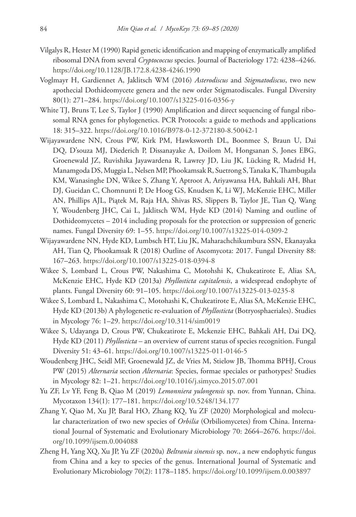- Vilgalys R, Hester M (1990) Rapid genetic identification and mapping of enzymatically amplified ribosomal DNA from several *Cryptococcus* species. Journal of Bacteriology 172: 4238–4246. <https://doi.org/10.1128/JB.172.8.4238-4246.1990>
- Voglmayr H, Gardiennet A, Jaklitsch WM (2016) *Asterodiscus* and *Stigmatodiscus*, two new apothecial Dothideomycete genera and the new order Stigmatodiscales. Fungal Diversity 80(1): 271–284. <https://doi.org/10.1007/s13225-016-0356-y>
- White TJ, Bruns T, Lee S, Taylor J (1990) Amplification and direct sequencing of fungal ribosomal RNA genes for phylogenetics. PCR Protocols: a guide to methods and applications 18: 315–322.<https://doi.org/10.1016/B978-0-12-372180-8.50042-1>
- Wijayawardene NN, Crous PW, Kirk PM, Hawksworth DL, Boonmee S, Braun U, Dai DQ, D'souza MJ, Diederich P, Dissanayake A, Doilom M, Hongsanan S, Jones EBG, Groenewald JZ, Ruvishika Jayawardena R, Lawrey JD, Liu JK, Lücking R, Madrid H, Manamgoda DS, Muggia L, Nelsen MP, Phookamsak R, Suetrong S, Tanaka K, Thambugala KM, Wanasinghe DN, Wikee S, Zhang Y, Aptroot A, Ariyawansa HA, Bahkali AH, Bhat DJ, Gueidan C, Chomnunti P, De Hoog GS, Knudsen K, Li WJ, McKenzie EHC, Miller AN, Phillips AJL, Piątek M, Raja HA, Shivas RS, Slippers B, Taylor JE, Tian Q, Wang Y, Woudenberg JHC, Cai L, Jaklitsch WM, Hyde KD (2014) Naming and outline of Dothideomycetes – 2014 including proposals for the protection or suppression of generic names. Fungal Diversity 69: 1–55.<https://doi.org/10.1007/s13225-014-0309-2>
- Wijayawardene NN, Hyde KD, Lumbsch HT, Liu JK, Maharachchikumbura SSN, Ekanayaka AH, Tian Q, Phookamsak R (2018) Outline of Ascomycota: 2017. Fungal Diversity 88: 167–263.<https://doi.org/10.1007/s13225-018-0394-8>
- Wikee S, Lombard L, Crous PW, Nakashima C, Motohshi K, Chukeatirote E, Alias SA, McKenzie EHC, Hyde KD (2013a) *Phyllosticta capitalensis*, a widespread endophyte of plants. Fungal Diversity 60: 91–105.<https://doi.org/10.1007/s13225-013-0235-8>
- Wikee S, Lombard L, Nakashima C, Motohashi K, Chukeatirote E, Alias SA, McKenzie EHC, Hyde KD (2013b) A phylogenetic re-evaluation of *Phyllosticta* (Botryosphaeriales). Studies in Mycology 76: 1–29.<https://doi.org/10.3114/sim0019>
- Wikee S, Udayanga D, Crous PW, Chukeatirote E, Mckenzie EHC, Bahkali AH, Dai DQ, Hyde KD (2011) *Phyllosticta* – an overview of current status of species recognition. Fungal Diversity 51: 43–61. <https://doi.org/10.1007/s13225-011-0146-5>
- Woudenberg JHC, Seidl MF, Groenewald JZ, de Vries M, Stielow JB, Thomma BPHJ, Crous PW (2015) *Alternaria* section *Alternaria*: Species, formae speciales or pathotypes? Studies in Mycology 82: 1–21.<https://doi.org/10.1016/j.simyco.2015.07.001>
- Yu ZF, Lv YF, Feng B, Qiao M (2019) *Lemonniera yulongensis* sp. nov. from Yunnan, China. Mycotaxon 134(1): 177–181. <https://doi.org/10.5248/134.177>
- Zhang Y, Qiao M, Xu JP, Baral HO, Zhang KQ, Yu ZF (2020) Morphological and molecular characterization of two new species of *Orbilia* (Orbiliomycetes) from China. International Journal of Systematic and Evolutionary Microbiology 70: 2664–2676. [https://doi.](https://doi.org/10.1099/ijsem.0.004088) [org/10.1099/ijsem.0.004088](https://doi.org/10.1099/ijsem.0.004088)
- Zheng H, Yang XQ, Xu JP, Yu ZF (2020a) *Beltrania sinensis* sp. nov., a new endophytic fungus from China and a key to species of the genus. International Journal of Systematic and Evolutionary Microbiology 70(2): 1178–1185.<https://doi.org/10.1099/ijsem.0.003897>